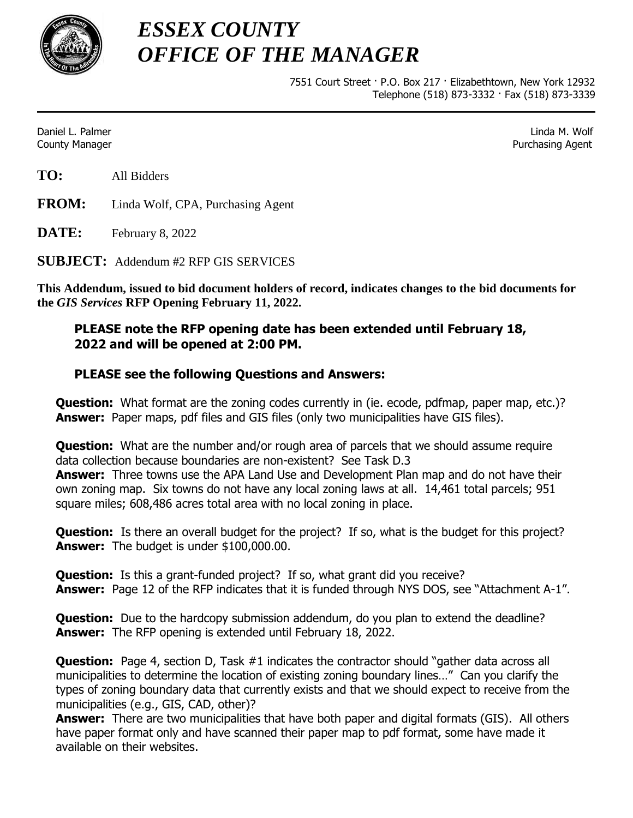

*ESSEX COUNTY OFFICE OF THE MANAGER*

> 7551 Court Street · P.O. Box 217 · Elizabethtown, New York 12932 Telephone (518) 873-3332 · Fax (518) 873-3339

Daniel L. Palmer Linda M. Wolf County Manager Purchasing Agent

**TO:** All Bidders

**FROM:** Linda Wolf, CPA, Purchasing Agent

**DATE:** February 8, 2022

**SUBJECT:** Addendum #2 RFP GIS SERVICES

**This Addendum, issued to bid document holders of record, indicates changes to the bid documents for the** *GIS Services* **RFP Opening February 11, 2022.**

## **PLEASE note the RFP opening date has been extended until February 18, 2022 and will be opened at 2:00 PM.**

## **PLEASE see the following Questions and Answers:**

**Question:** What format are the zoning codes currently in (ie. ecode, pdfmap, paper map, etc.)? **Answer:** Paper maps, pdf files and GIS files (only two municipalities have GIS files).

**Question:** What are the number and/or rough area of parcels that we should assume require data collection because boundaries are non-existent? See Task D.3 **Answer:** Three towns use the APA Land Use and Development Plan map and do not have their own zoning map. Six towns do not have any local zoning laws at all. 14,461 total parcels; 951 square miles; 608,486 acres total area with no local zoning in place.

**Question:** Is there an overall budget for the project? If so, what is the budget for this project? **Answer:** The budget is under \$100,000.00.

**Question:** Is this a grant-funded project? If so, what grant did you receive? **Answer:** Page 12 of the RFP indicates that it is funded through NYS DOS, see "Attachment A-1".

**Question:** Due to the hardcopy submission addendum, do you plan to extend the deadline? **Answer:** The RFP opening is extended until February 18, 2022.

**Question:** Page 4, section D, Task #1 indicates the contractor should "gather data across all municipalities to determine the location of existing zoning boundary lines…" Can you clarify the types of zoning boundary data that currently exists and that we should expect to receive from the municipalities (e.g., GIS, CAD, other)?

**Answer:** There are two municipalities that have both paper and digital formats (GIS). All others have paper format only and have scanned their paper map to pdf format, some have made it available on their websites.